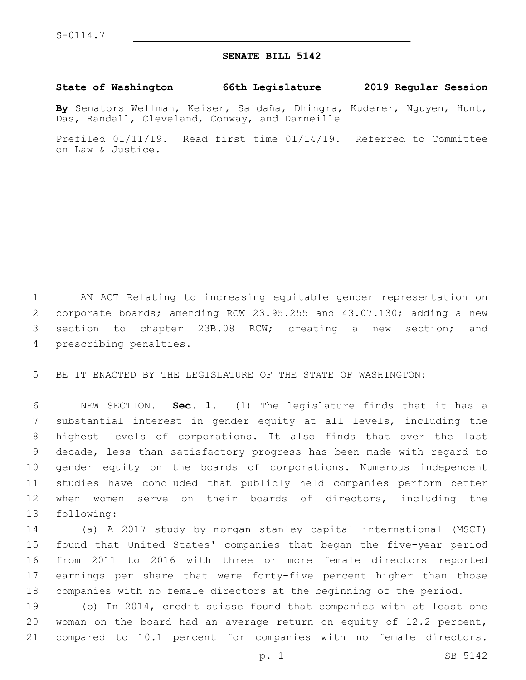## **SENATE BILL 5142**

## **State of Washington 66th Legislature 2019 Regular Session**

**By** Senators Wellman, Keiser, Saldaña, Dhingra, Kuderer, Nguyen, Hunt, Das, Randall, Cleveland, Conway, and Darneille

Prefiled 01/11/19. Read first time 01/14/19. Referred to Committee on Law & Justice.

 AN ACT Relating to increasing equitable gender representation on corporate boards; amending RCW 23.95.255 and 43.07.130; adding a new section to chapter 23B.08 RCW; creating a new section; and 4 prescribing penalties.

BE IT ENACTED BY THE LEGISLATURE OF THE STATE OF WASHINGTON:

 NEW SECTION. **Sec. 1.** (1) The legislature finds that it has a substantial interest in gender equity at all levels, including the highest levels of corporations. It also finds that over the last decade, less than satisfactory progress has been made with regard to gender equity on the boards of corporations. Numerous independent studies have concluded that publicly held companies perform better when women serve on their boards of directors, including the following:

 (a) A 2017 study by morgan stanley capital international (MSCI) found that United States' companies that began the five-year period from 2011 to 2016 with three or more female directors reported earnings per share that were forty-five percent higher than those companies with no female directors at the beginning of the period.

 (b) In 2014, credit suisse found that companies with at least one woman on the board had an average return on equity of 12.2 percent, compared to 10.1 percent for companies with no female directors.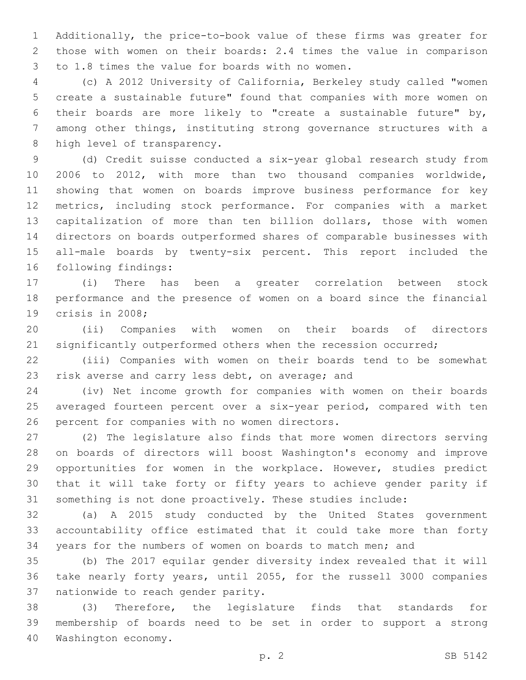Additionally, the price-to-book value of these firms was greater for those with women on their boards: 2.4 times the value in comparison 3 to 1.8 times the value for boards with no women.

 (c) A 2012 University of California, Berkeley study called "women create a sustainable future" found that companies with more women on their boards are more likely to "create a sustainable future" by, among other things, instituting strong governance structures with a 8 high level of transparency.

 (d) Credit suisse conducted a six-year global research study from 2006 to 2012, with more than two thousand companies worldwide, showing that women on boards improve business performance for key metrics, including stock performance. For companies with a market capitalization of more than ten billion dollars, those with women directors on boards outperformed shares of comparable businesses with all-male boards by twenty-six percent. This report included the 16 following findings:

 (i) There has been a greater correlation between stock performance and the presence of women on a board since the financial 19 crisis in 2008;

 (ii) Companies with women on their boards of directors significantly outperformed others when the recession occurred;

 (iii) Companies with women on their boards tend to be somewhat 23 risk averse and carry less debt, on average; and

 (iv) Net income growth for companies with women on their boards averaged fourteen percent over a six-year period, compared with ten 26 percent for companies with no women directors.

 (2) The legislature also finds that more women directors serving on boards of directors will boost Washington's economy and improve opportunities for women in the workplace. However, studies predict that it will take forty or fifty years to achieve gender parity if something is not done proactively. These studies include:

 (a) A 2015 study conducted by the United States government accountability office estimated that it could take more than forty years for the numbers of women on boards to match men; and

 (b) The 2017 equilar gender diversity index revealed that it will take nearly forty years, until 2055, for the russell 3000 companies 37 nationwide to reach gender parity.

 (3) Therefore, the legislature finds that standards for membership of boards need to be set in order to support a strong 40 Washington economy.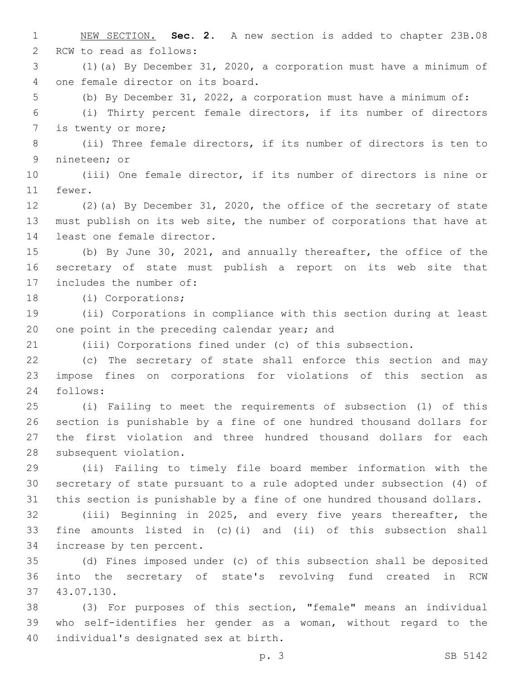NEW SECTION. **Sec. 2.** A new section is added to chapter 23B.08 2 RCW to read as follows: (1)(a) By December 31, 2020, a corporation must have a minimum of 4 one female director on its board. (b) By December 31, 2022, a corporation must have a minimum of: (i) Thirty percent female directors, if its number of directors 7 is twenty or more; (ii) Three female directors, if its number of directors is ten to 9 nineteen; or (iii) One female director, if its number of directors is nine or 11 fewer. (2)(a) By December 31, 2020, the office of the secretary of state must publish on its web site, the number of corporations that have at 14 least one female director. (b) By June 30, 2021, and annually thereafter, the office of the secretary of state must publish a report on its web site that 17 includes the number of: 18 (i) Corporations; (ii) Corporations in compliance with this section during at least 20 one point in the preceding calendar year; and (iii) Corporations fined under (c) of this subsection. (c) The secretary of state shall enforce this section and may impose fines on corporations for violations of this section as 24 follows: (i) Failing to meet the requirements of subsection (1) of this section is punishable by a fine of one hundred thousand dollars for the first violation and three hundred thousand dollars for each 28 subsequent violation. (ii) Failing to timely file board member information with the secretary of state pursuant to a rule adopted under subsection (4) of this section is punishable by a fine of one hundred thousand dollars. (iii) Beginning in 2025, and every five years thereafter, the fine amounts listed in (c)(i) and (ii) of this subsection shall 34 increase by ten percent. (d) Fines imposed under (c) of this subsection shall be deposited into the secretary of state's revolving fund created in RCW 43.07.130.37 (3) For purposes of this section, "female" means an individual who self-identifies her gender as a woman, without regard to the 40 individual's designated sex at birth.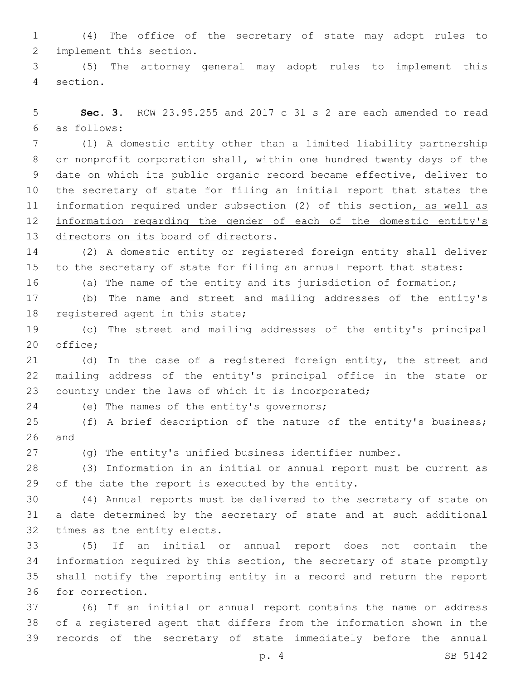(4) The office of the secretary of state may adopt rules to 2 implement this section.

 (5) The attorney general may adopt rules to implement this 4 section.

 **Sec. 3.** RCW 23.95.255 and 2017 c 31 s 2 are each amended to read as follows:6

 (1) A domestic entity other than a limited liability partnership or nonprofit corporation shall, within one hundred twenty days of the date on which its public organic record became effective, deliver to the secretary of state for filing an initial report that states the 11 information required under subsection (2) of this section, as well as information regarding the gender of each of the domestic entity's 13 directors on its board of directors.

 (2) A domestic entity or registered foreign entity shall deliver to the secretary of state for filing an annual report that states:

(a) The name of the entity and its jurisdiction of formation;

(b) The name and street and mailing addresses of the entity's

18 registered agent in this state;

 (c) The street and mailing addresses of the entity's principal 20 office;

 (d) In the case of a registered foreign entity, the street and mailing address of the entity's principal office in the state or country under the laws of which it is incorporated;

24 (e) The names of the entity's governors;

 (f) A brief description of the nature of the entity's business; and

(g) The entity's unified business identifier number.

 (3) Information in an initial or annual report must be current as 29 of the date the report is executed by the entity.

 (4) Annual reports must be delivered to the secretary of state on a date determined by the secretary of state and at such additional 32 times as the entity elects.

 (5) If an initial or annual report does not contain the information required by this section, the secretary of state promptly shall notify the reporting entity in a record and return the report 36 for correction.

 (6) If an initial or annual report contains the name or address of a registered agent that differs from the information shown in the records of the secretary of state immediately before the annual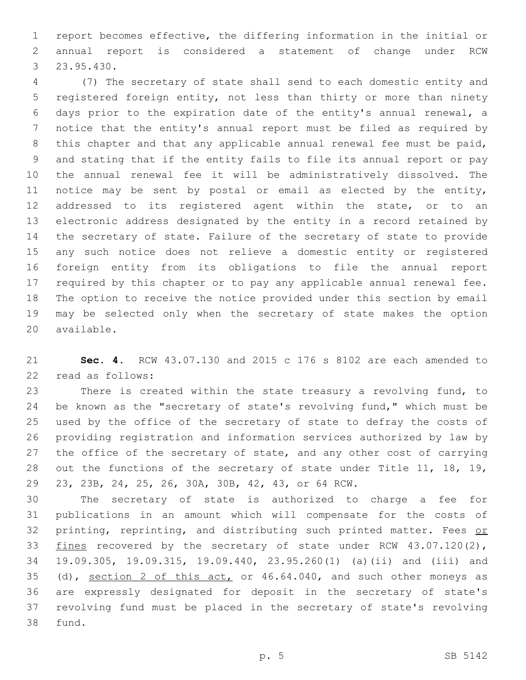report becomes effective, the differing information in the initial or annual report is considered a statement of change under RCW 23.95.430.3

 (7) The secretary of state shall send to each domestic entity and registered foreign entity, not less than thirty or more than ninety days prior to the expiration date of the entity's annual renewal, a notice that the entity's annual report must be filed as required by this chapter and that any applicable annual renewal fee must be paid, and stating that if the entity fails to file its annual report or pay the annual renewal fee it will be administratively dissolved. The notice may be sent by postal or email as elected by the entity, 12 addressed to its registered agent within the state, or to an electronic address designated by the entity in a record retained by the secretary of state. Failure of the secretary of state to provide any such notice does not relieve a domestic entity or registered foreign entity from its obligations to file the annual report required by this chapter or to pay any applicable annual renewal fee. The option to receive the notice provided under this section by email may be selected only when the secretary of state makes the option 20 available.

 **Sec. 4.** RCW 43.07.130 and 2015 c 176 s 8102 are each amended to 22 read as follows:

 There is created within the state treasury a revolving fund, to be known as the "secretary of state's revolving fund," which must be used by the office of the secretary of state to defray the costs of providing registration and information services authorized by law by 27 the office of the secretary of state, and any other cost of carrying out the functions of the secretary of state under Title 11, 18, 19, 29 23, 23B, 24, 25, 26, 30A, 30B, 42, 43, or 64 RCW.

 The secretary of state is authorized to charge a fee for publications in an amount which will compensate for the costs of 32 printing, reprinting, and distributing such printed matter. Fees or 33 fines recovered by the secretary of state under RCW 43.07.120(2), 19.09.305, 19.09.315, 19.09.440, 23.95.260(1) (a)(ii) and (iii) and 35 (d), section 2 of this act, or 46.64.040, and such other moneys as are expressly designated for deposit in the secretary of state's revolving fund must be placed in the secretary of state's revolving 38 fund.